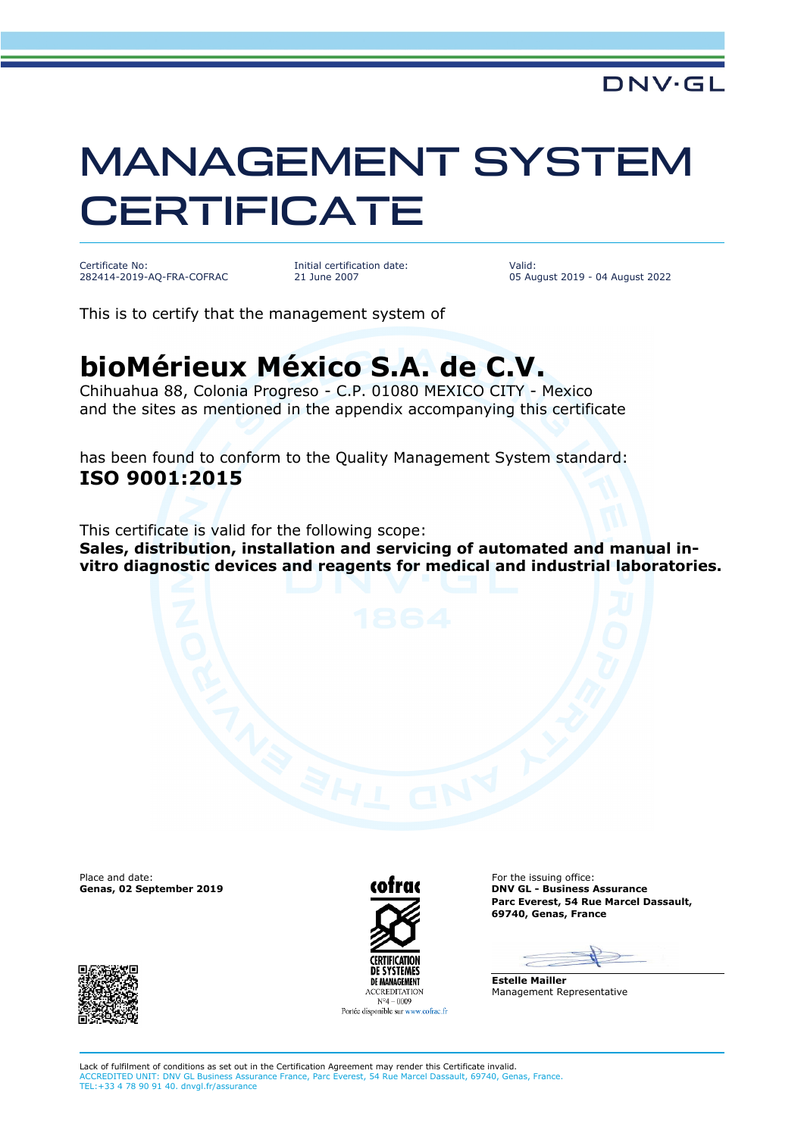## MANAGEMENT SYSTEM **CERTIFICATE**

Certificate No: 282414-2019-AQ-FRA-COFRAC Initial certification date: 21 June 2007

Valid: 05 August 2019 - 04 August 2022

This is to certify that the management system of

## **bioMérieux México S.A. de C.V.**

Chihuahua 88, Colonia Progreso - C.P. 01080 MEXICO CITY - Mexico and the sites as mentioned in the appendix accompanying this certificate

has been found to conform to the Quality Management System standard: **ISO 9001:2015**

This certificate is valid for the following scope: **Sales, distribution, installation and servicing of automated and manual invitro diagnostic devices and reagents for medical and industrial laboratories.**

Place and date:  $\overline{C}$  For the issuing office:<br>  $\overline{C}$   $\overline{C}$   $\overline{C}$   $\overline{C}$   $\overline{C}$   $\overline{C}$   $\overline{C}$   $\overline{C}$   $\overline{C}$   $\overline{C}$   $\overline{C}$   $\overline{C}$   $\overline{C}$   $\overline{C}$   $\overline{C}$   $\overline{C}$   $\overline{C}$   $\overline{C}$   $\overline{C}$ 





Genas, 02 September 2019 **COTTUGE 1998 COTTUGE 1999 DNV GL - Business Assurance Parc Everest, 54 Rue Marcel Dassault, 69740, Genas, France**

 $\overline{\phantom{0}}$ 

**Estelle Mailler** Management Representative